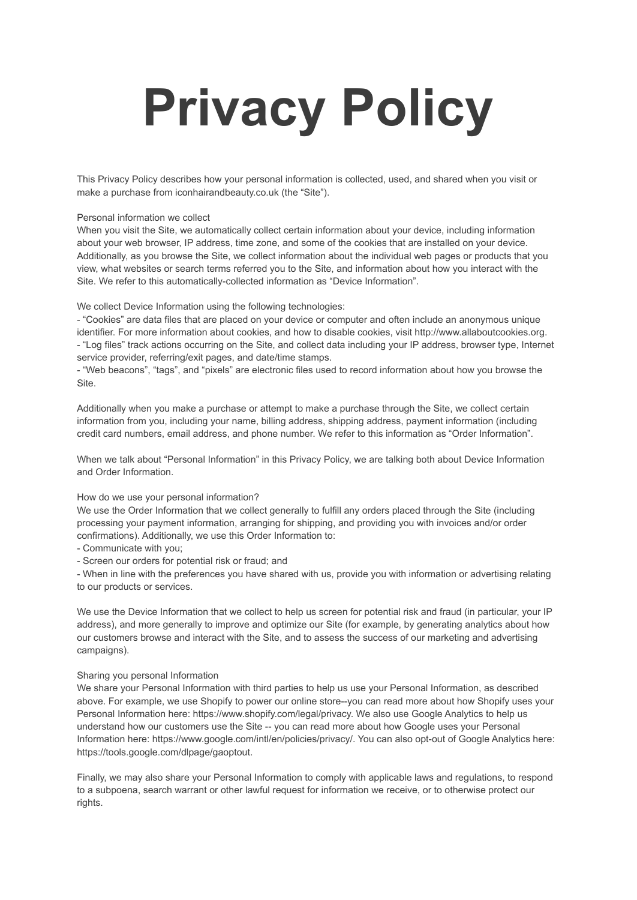# **Privacy Policy**

This Privacy Policy describes how your personal information is collected, used, and shared when you visit or make a purchase from iconhairandbeauty.co.uk (the "Site").

#### Personal information we collect

When you visit the Site, we automatically collect certain information about your device, including information about your web browser, IP address, time zone, and some of the cookies that are installed on your device. Additionally, as you browse the Site, we collect information about the individual web pages or products that you view, what websites or search terms referred you to the Site, and information about how you interact with the Site. We refer to this automatically-collected information as "Device Information".

We collect Device Information using the following technologies:

- "Cookies" are data files that are placed on your device or computer and often include an anonymous unique identifier. For more information about cookies, and how to disable cookies, visit http://www.allaboutcookies.org. - "Log files" track actions occurring on the Site, and collect data including your IP address, browser type, Internet service provider, referring/exit pages, and date/time stamps.

- "Web beacons", "tags", and "pixels" are electronic files used to record information about how you browse the Site.

Additionally when you make a purchase or attempt to make a purchase through the Site, we collect certain information from you, including your name, billing address, shipping address, payment information (including credit card numbers, email address, and phone number. We refer to this information as "Order Information".

When we talk about "Personal Information" in this Privacy Policy, we are talking both about Device Information and Order Information.

#### How do we use your personal information?

We use the Order Information that we collect generally to fulfill any orders placed through the Site (including processing your payment information, arranging for shipping, and providing you with invoices and/or order confirmations). Additionally, we use this Order Information to:

- Communicate with you;
- Screen our orders for potential risk or fraud; and

- When in line with the preferences you have shared with us, provide you with information or advertising relating to our products or services.

We use the Device Information that we collect to help us screen for potential risk and fraud (in particular, your IP address), and more generally to improve and optimize our Site (for example, by generating analytics about how our customers browse and interact with the Site, and to assess the success of our marketing and advertising campaigns).

## Sharing you personal Information

We share your Personal Information with third parties to help us use your Personal Information, as described above. For example, we use Shopify to power our online store--you can read more about how Shopify uses your Personal Information here: https://www.shopify.com/legal/privacy. We also use Google Analytics to help us understand how our customers use the Site -- you can read more about how Google uses your Personal Information here: https://www.google.com/intl/en/policies/privacy/. You can also opt-out of Google Analytics here: https://tools.google.com/dlpage/gaoptout.

Finally, we may also share your Personal Information to comply with applicable laws and regulations, to respond to a subpoena, search warrant or other lawful request for information we receive, or to otherwise protect our rights.